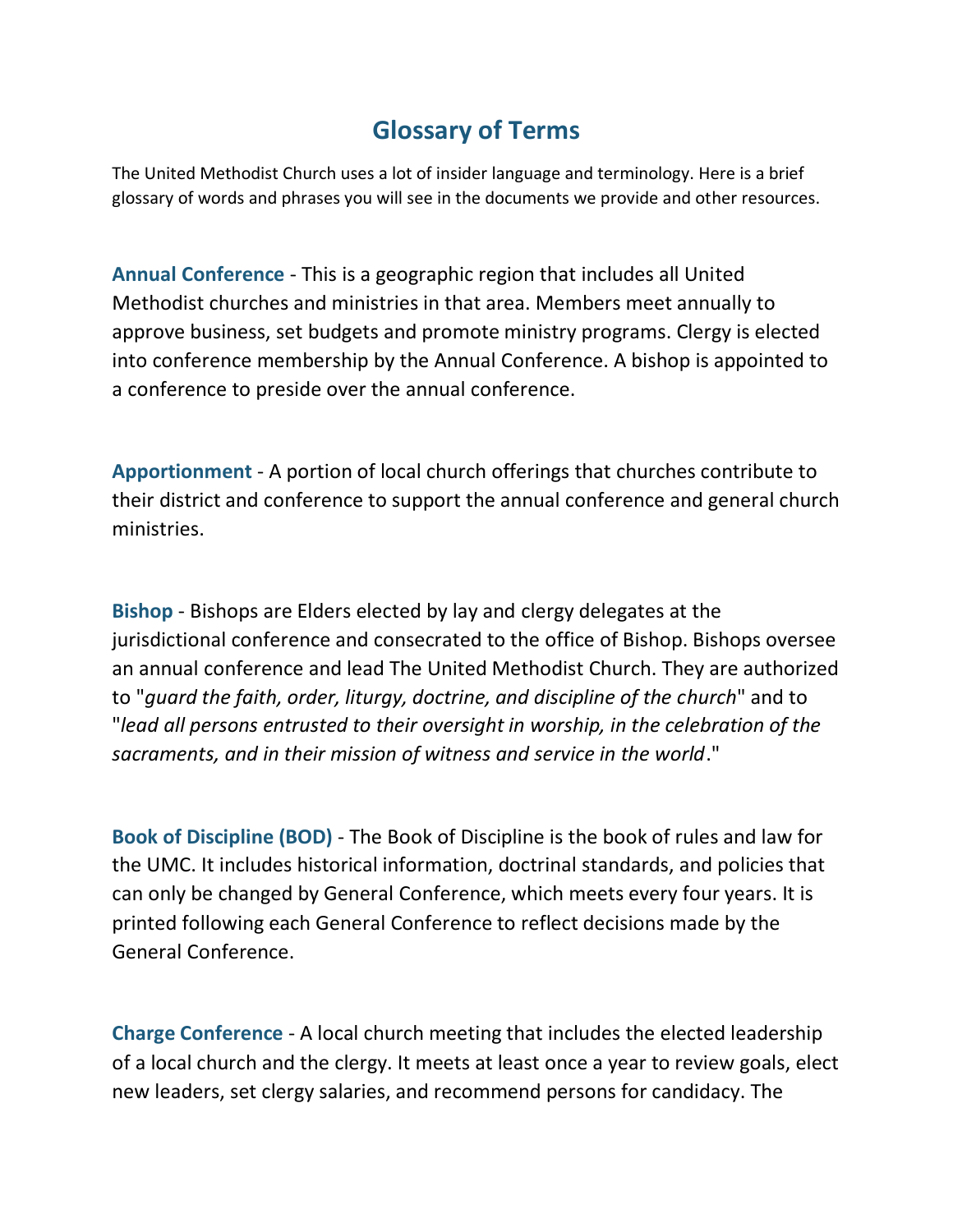## **Glossary of Terms**

The United Methodist Church uses a lot of insider language and terminology. Here is a brief glossary of words and phrases you will see in the documents we provide and other resources.

**Annual Conference** - This is a geographic region that includes all United Methodist churches and ministries in that area. Members meet annually to approve business, set budgets and promote ministry programs. Clergy is elected into conference membership by the Annual Conference. A bishop is appointed to a conference to preside over the annual conference.

**Apportionment** - A portion of local church offerings that churches contribute to their district and conference to support the annual conference and general church ministries.

**Bishop** - Bishops are Elders elected by lay and clergy delegates at the jurisdictional conference and consecrated to the office of Bishop. Bishops oversee an annual conference and lead The United Methodist Church. They are authorized to "*guard the faith, order, liturgy, doctrine, and discipline of the church*" and to "*lead all persons entrusted to their oversight in worship, in the celebration of the sacraments, and in their mission of witness and service in the world*."

**Book of Discipline (BOD)** - The Book of Discipline is the book of rules and law for the UMC. It includes historical information, doctrinal standards, and policies that can only be changed by General Conference, which meets every four years. It is printed following each General Conference to reflect decisions made by the General Conference.

**Charge Conference** - A local church meeting that includes the elected leadership of a local church and the clergy. It meets at least once a year to review goals, elect new leaders, set clergy salaries, and recommend persons for candidacy. The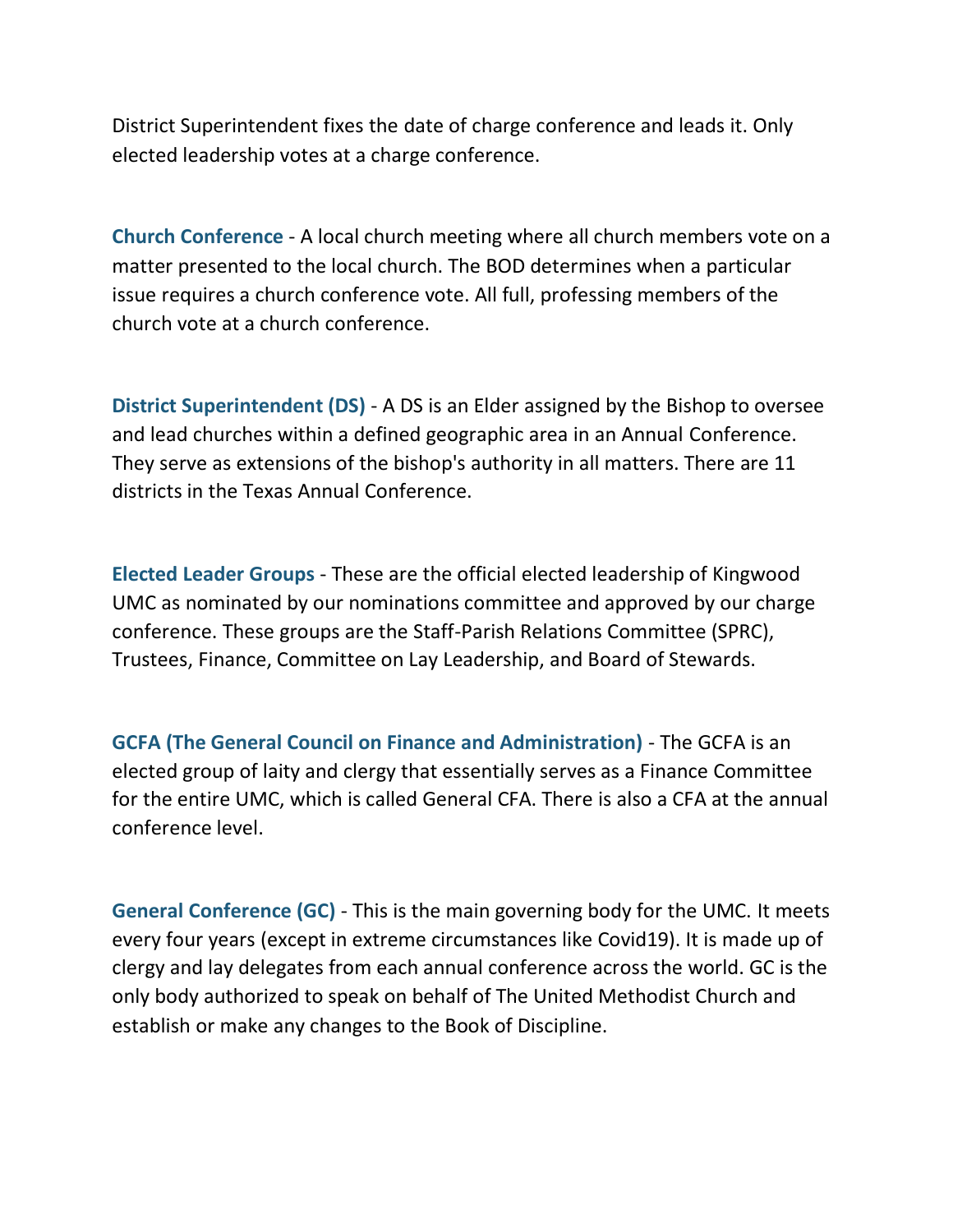District Superintendent fixes the date of charge conference and leads it. Only elected leadership votes at a charge conference.

**Church Conference** - A local church meeting where all church members vote on a matter presented to the local church. The BOD determines when a particular issue requires a church conference vote. All full, professing members of the church vote at a church conference.

**District Superintendent (DS)** - A DS is an Elder assigned by the Bishop to oversee and lead churches within a defined geographic area in an Annual Conference. They serve as extensions of the bishop's authority in all matters. There are 11 districts in the Texas Annual Conference.

**Elected Leader Groups** - These are the official elected leadership of Kingwood UMC as nominated by our nominations committee and approved by our charge conference. These groups are the Staff-Parish Relations Committee (SPRC), Trustees, Finance, Committee on Lay Leadership, and Board of Stewards.

**GCFA (The General Council on Finance and Administration)** - The GCFA is an elected group of laity and clergy that essentially serves as a Finance Committee for the entire UMC, which is called General CFA. There is also a CFA at the annual conference level.

**General Conference (GC)** - This is the main governing body for the UMC. It meets every four years (except in extreme circumstances like Covid19). It is made up of clergy and lay delegates from each annual conference across the world. GC is the only body authorized to speak on behalf of The United Methodist Church and establish or make any changes to the Book of Discipline.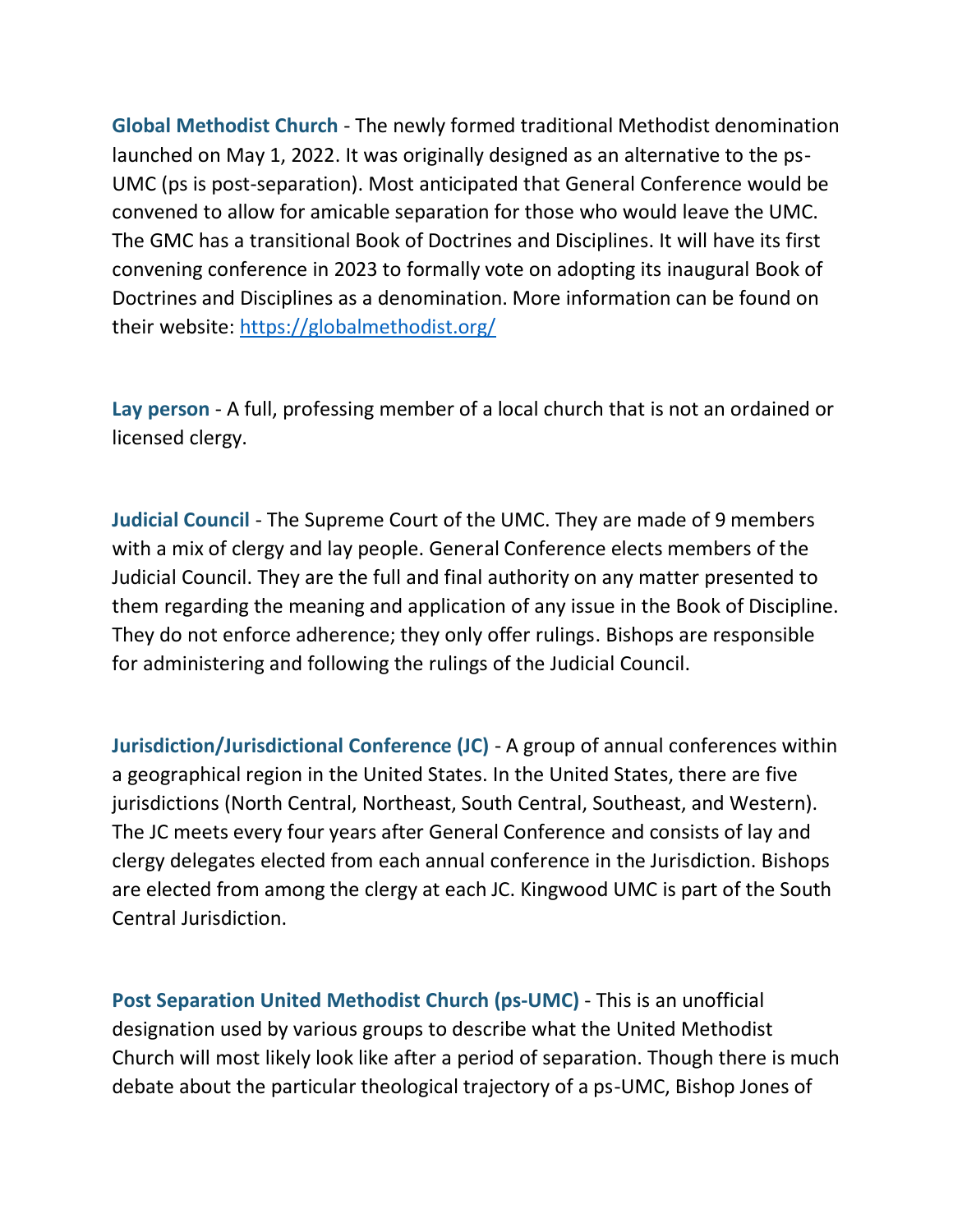**Global Methodist Church** - The newly formed traditional Methodist denomination launched on May 1, 2022. It was originally designed as an alternative to the ps-UMC (ps is post-separation). Most anticipated that General Conference would be convened to allow for amicable separation for those who would leave the UMC. The GMC has a transitional Book of Doctrines and Disciplines. It will have its first convening conference in 2023 to formally vote on adopting its inaugural Book of Doctrines and Disciplines as a denomination. More information can be found on their website:<https://globalmethodist.org/>

**Lay person** - A full, professing member of a local church that is not an ordained or licensed clergy.

**Judicial Council** - The Supreme Court of the UMC. They are made of 9 members with a mix of clergy and lay people. General Conference elects members of the Judicial Council. They are the full and final authority on any matter presented to them regarding the meaning and application of any issue in the Book of Discipline. They do not enforce adherence; they only offer rulings. Bishops are responsible for administering and following the rulings of the Judicial Council.

**Jurisdiction/Jurisdictional Conference (JC)** - A group of annual conferences within a geographical region in the United States. In the United States, there are five jurisdictions (North Central, Northeast, South Central, Southeast, and Western). The JC meets every four years after General Conference and consists of lay and clergy delegates elected from each annual conference in the Jurisdiction. Bishops are elected from among the clergy at each JC. Kingwood UMC is part of the South Central Jurisdiction.

**Post Separation United Methodist Church (ps-UMC)** - This is an unofficial designation used by various groups to describe what the United Methodist Church will most likely look like after a period of separation. Though there is much debate about the particular theological trajectory of a ps-UMC, Bishop Jones of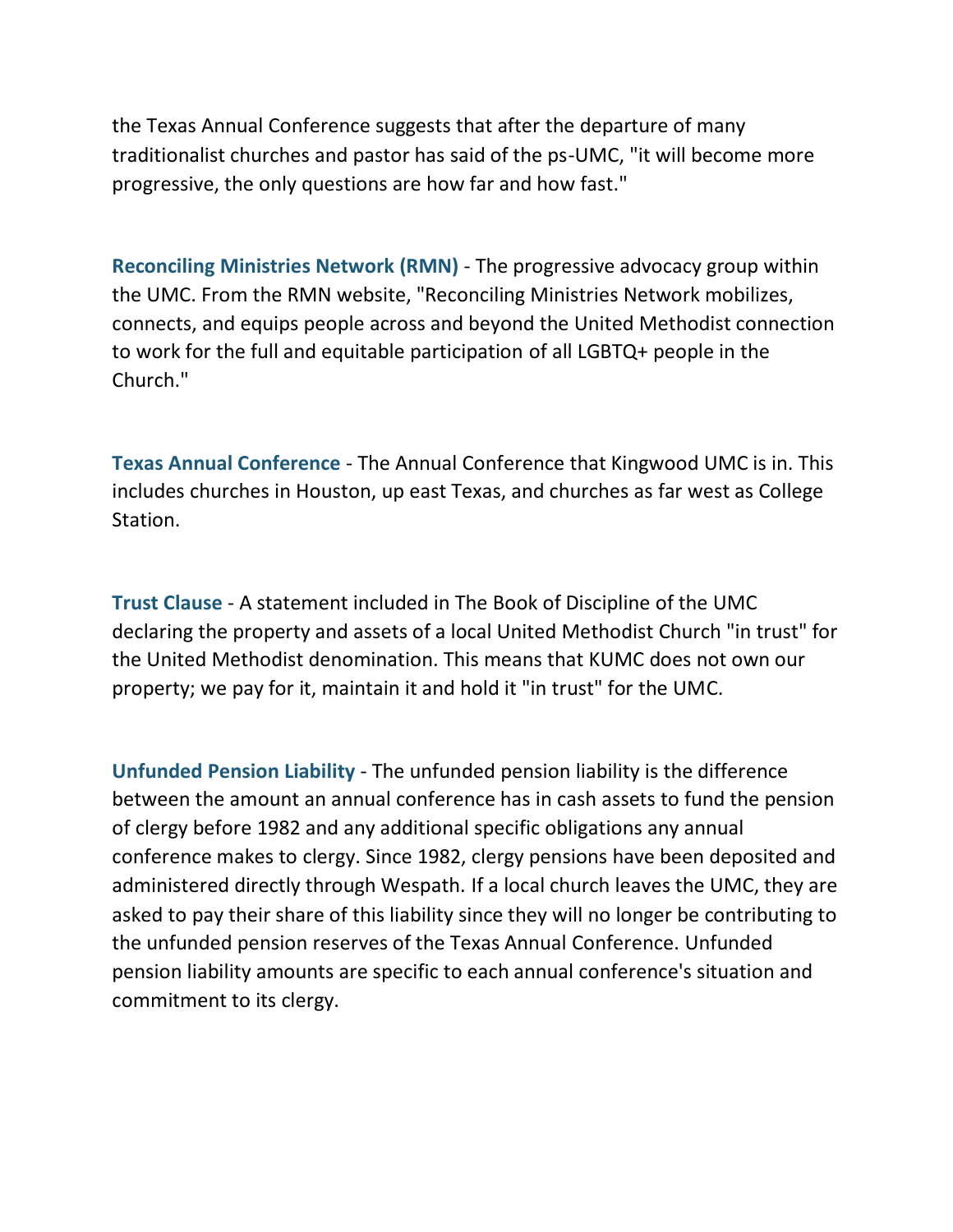the Texas Annual Conference suggests that after the departure of many traditionalist churches and pastor has said of the ps-UMC, "it will become more progressive, the only questions are how far and how fast."

**Reconciling Ministries Network (RMN)** - The progressive advocacy group within the UMC. From the RMN website, "Reconciling Ministries Network mobilizes, connects, and equips people across and beyond the United Methodist connection to work for the full and equitable participation of all LGBTQ+ people in the Church."

**Texas Annual Conference** - The Annual Conference that Kingwood UMC is in. This includes churches in Houston, up east Texas, and churches as far west as College Station.

**Trust Clause** - A statement included in The Book of Discipline of the UMC declaring the property and assets of a local United Methodist Church "in trust" for the United Methodist denomination. This means that KUMC does not own our property; we pay for it, maintain it and hold it "in trust" for the UMC.

**Unfunded Pension Liability** - The unfunded pension liability is the difference between the amount an annual conference has in cash assets to fund the pension of clergy before 1982 and any additional specific obligations any annual conference makes to clergy. Since 1982, clergy pensions have been deposited and administered directly through Wespath. If a local church leaves the UMC, they are asked to pay their share of this liability since they will no longer be contributing to the unfunded pension reserves of the Texas Annual Conference. Unfunded pension liability amounts are specific to each annual conference's situation and commitment to its clergy.